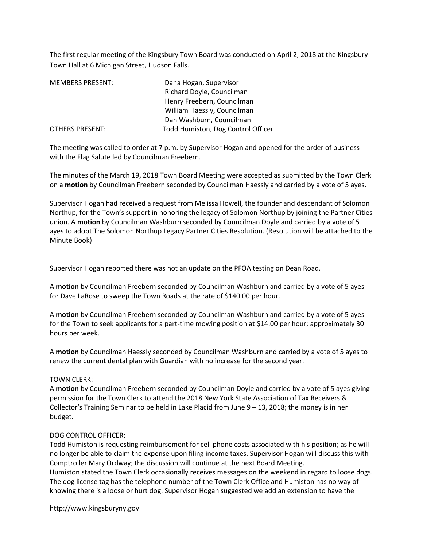The first regular meeting of the Kingsbury Town Board was conducted on April 2, 2018 at the Kingsbury Town Hall at 6 Michigan Street, Hudson Falls.

| <b>MEMBERS PRESENT:</b> | Dana Hogan, Supervisor             |
|-------------------------|------------------------------------|
|                         | Richard Doyle, Councilman          |
|                         | Henry Freebern, Councilman         |
|                         | William Haessly, Councilman        |
|                         | Dan Washburn, Councilman           |
| <b>OTHERS PRESENT:</b>  | Todd Humiston, Dog Control Officer |

The meeting was called to order at 7 p.m. by Supervisor Hogan and opened for the order of business with the Flag Salute led by Councilman Freebern.

The minutes of the March 19, 2018 Town Board Meeting were accepted as submitted by the Town Clerk on a motion by Councilman Freebern seconded by Councilman Haessly and carried by a vote of 5 ayes.

Supervisor Hogan had received a request from Melissa Howell, the founder and descendant of Solomon Northup, for the Town's support in honoring the legacy of Solomon Northup by joining the Partner Cities union. A motion by Councilman Washburn seconded by Councilman Doyle and carried by a vote of 5 ayes to adopt The Solomon Northup Legacy Partner Cities Resolution. (Resolution will be attached to the Minute Book)

Supervisor Hogan reported there was not an update on the PFOA testing on Dean Road.

A motion by Councilman Freebern seconded by Councilman Washburn and carried by a vote of 5 ayes for Dave LaRose to sweep the Town Roads at the rate of \$140.00 per hour.

A motion by Councilman Freebern seconded by Councilman Washburn and carried by a vote of 5 ayes for the Town to seek applicants for a part-time mowing position at \$14.00 per hour; approximately 30 hours per week.

A motion by Councilman Haessly seconded by Councilman Washburn and carried by a vote of 5 ayes to renew the current dental plan with Guardian with no increase for the second year.

## TOWN CLERK:

A motion by Councilman Freebern seconded by Councilman Doyle and carried by a vote of 5 ayes giving permission for the Town Clerk to attend the 2018 New York State Association of Tax Receivers & Collector's Training Seminar to be held in Lake Placid from June 9 – 13, 2018; the money is in her budget.

#### DOG CONTROL OFFICER:

Todd Humiston is requesting reimbursement for cell phone costs associated with his position; as he will no longer be able to claim the expense upon filing income taxes. Supervisor Hogan will discuss this with Comptroller Mary Ordway; the discussion will continue at the next Board Meeting. Humiston stated the Town Clerk occasionally receives messages on the weekend in regard to loose dogs.

The dog license tag has the telephone number of the Town Clerk Office and Humiston has no way of knowing there is a loose or hurt dog. Supervisor Hogan suggested we add an extension to have the

http://www.kingsburyny.gov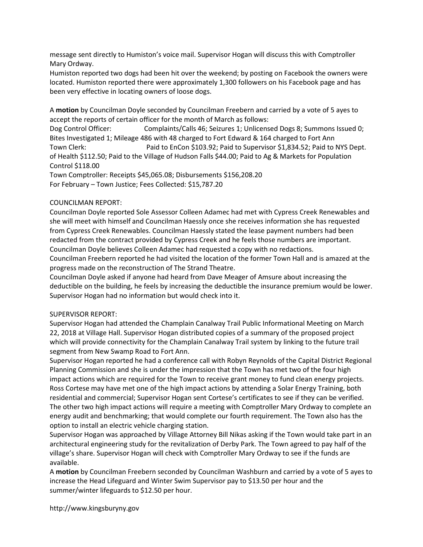message sent directly to Humiston's voice mail. Supervisor Hogan will discuss this with Comptroller Mary Ordway.

Humiston reported two dogs had been hit over the weekend; by posting on Facebook the owners were located. Humiston reported there were approximately 1,300 followers on his Facebook page and has been very effective in locating owners of loose dogs.

A motion by Councilman Doyle seconded by Councilman Freebern and carried by a vote of 5 ayes to accept the reports of certain officer for the month of March as follows:

Dog Control Officer: Complaints/Calls 46; Seizures 1; Unlicensed Dogs 8; Summons Issued 0; Bites Investigated 1; Mileage 486 with 48 charged to Fort Edward & 164 charged to Fort Ann Town Clerk: Paid to EnCon \$103.92; Paid to Supervisor \$1,834.52; Paid to NYS Dept. of Health \$112.50; Paid to the Village of Hudson Falls \$44.00; Paid to Ag & Markets for Population Control \$118.00

Town Comptroller: Receipts \$45,065.08; Disbursements \$156,208.20 For February – Town Justice; Fees Collected: \$15,787.20

# COUNCILMAN REPORT:

Councilman Doyle reported Sole Assessor Colleen Adamec had met with Cypress Creek Renewables and she will meet with himself and Councilman Haessly once she receives information she has requested from Cypress Creek Renewables. Councilman Haessly stated the lease payment numbers had been redacted from the contract provided by Cypress Creek and he feels those numbers are important. Councilman Doyle believes Colleen Adamec had requested a copy with no redactions.

Councilman Freebern reported he had visited the location of the former Town Hall and is amazed at the progress made on the reconstruction of The Strand Theatre.

Councilman Doyle asked if anyone had heard from Dave Meager of Amsure about increasing the deductible on the building, he feels by increasing the deductible the insurance premium would be lower. Supervisor Hogan had no information but would check into it.

## SUPERVISOR REPORT:

Supervisor Hogan had attended the Champlain Canalway Trail Public Informational Meeting on March 22, 2018 at Village Hall. Supervisor Hogan distributed copies of a summary of the proposed project which will provide connectivity for the Champlain Canalway Trail system by linking to the future trail segment from New Swamp Road to Fort Ann.

Supervisor Hogan reported he had a conference call with Robyn Reynolds of the Capital District Regional Planning Commission and she is under the impression that the Town has met two of the four high impact actions which are required for the Town to receive grant money to fund clean energy projects. Ross Cortese may have met one of the high impact actions by attending a Solar Energy Training, both residential and commercial; Supervisor Hogan sent Cortese's certificates to see if they can be verified. The other two high impact actions will require a meeting with Comptroller Mary Ordway to complete an energy audit and benchmarking; that would complete our fourth requirement. The Town also has the option to install an electric vehicle charging station.

Supervisor Hogan was approached by Village Attorney Bill Nikas asking if the Town would take part in an architectural engineering study for the revitalization of Derby Park. The Town agreed to pay half of the village's share. Supervisor Hogan will check with Comptroller Mary Ordway to see if the funds are available.

A motion by Councilman Freebern seconded by Councilman Washburn and carried by a vote of 5 ayes to increase the Head Lifeguard and Winter Swim Supervisor pay to \$13.50 per hour and the summer/winter lifeguards to \$12.50 per hour.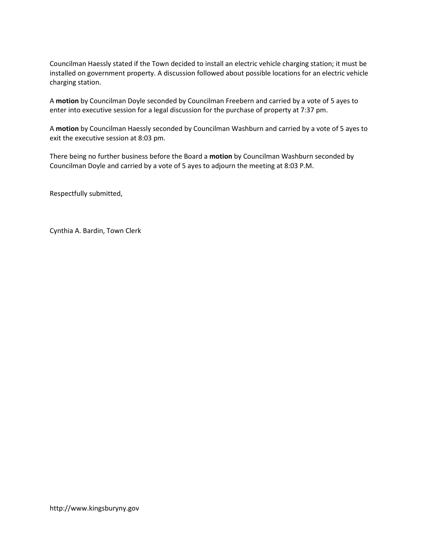Councilman Haessly stated if the Town decided to install an electric vehicle charging station; it must be installed on government property. A discussion followed about possible locations for an electric vehicle charging station.

A motion by Councilman Doyle seconded by Councilman Freebern and carried by a vote of 5 ayes to enter into executive session for a legal discussion for the purchase of property at 7:37 pm.

A motion by Councilman Haessly seconded by Councilman Washburn and carried by a vote of 5 ayes to exit the executive session at 8:03 pm.

There being no further business before the Board a motion by Councilman Washburn seconded by Councilman Doyle and carried by a vote of 5 ayes to adjourn the meeting at 8:03 P.M.

Respectfully submitted,

Cynthia A. Bardin, Town Clerk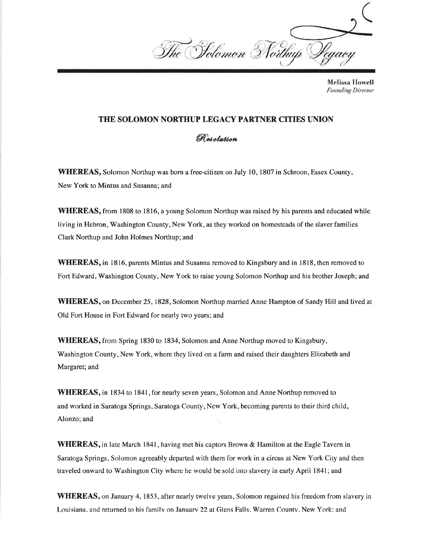The Solomon Northup Leagon

**Melissa Howell Founding Director** 

## THE SOLOMON NORTHUP LEGACY PARTNER CITIES UNION

Resolution

**WHEREAS,** Solomon Northup was born a free-citizen on July 10, 1807 in Schroon, Essex County, New York to Mintus and Susanna; and

**WHEREAS**, from 1808 to 1816, a young Solomon Northup was raised by his parents and educated while living in Hebron, Washington County, New York, as they worked on homesteads of the slaver families Clark Northup and John Holmes Northup; and

**WHEREAS**, in 1816, parents Mintus and Susanna removed to Kingsbury and in 1818, then removed to Fort Edward, Washington County, New York to raise young Solomon Northup and his brother Joseph; and

**WHEREAS**, on December 25, 1828, Solomon Northup married Anne Hampton of Sandy Hill and lived at Old Fort House in Fort Edward for nearly two years; and

**WHEREAS**, from Spring 1830 to 1834, Solomon and Anne Northup moved to Kingsbury, Washington County, New York, where they lived on a farm and raised their daughters Elizabeth and Margaret; and

**WHEREAS**, in 1834 to 1841, for nearly seven years, Solomon and Anne Northup removed to and worked in Saratoga Springs, Saratoga County, New York, becoming parents to their third child, Alonzo; and

**WHEREAS**, in late March 1841, having met his captors Brown & Hamilton at the Eagle Tavern in Saratoga Springs, Solomon agreeably departed with them for work in a circus at New York City and then traveled onward to Washington City where he would be sold into slavery in early April 1841; and

**WHEREAS**, on January 4, 1853, after nearly twelve years, Solomon regained his freedom from slavery in Louisiana. and returned to his family on January 22 at Glens Falls. Warren County. New York: and